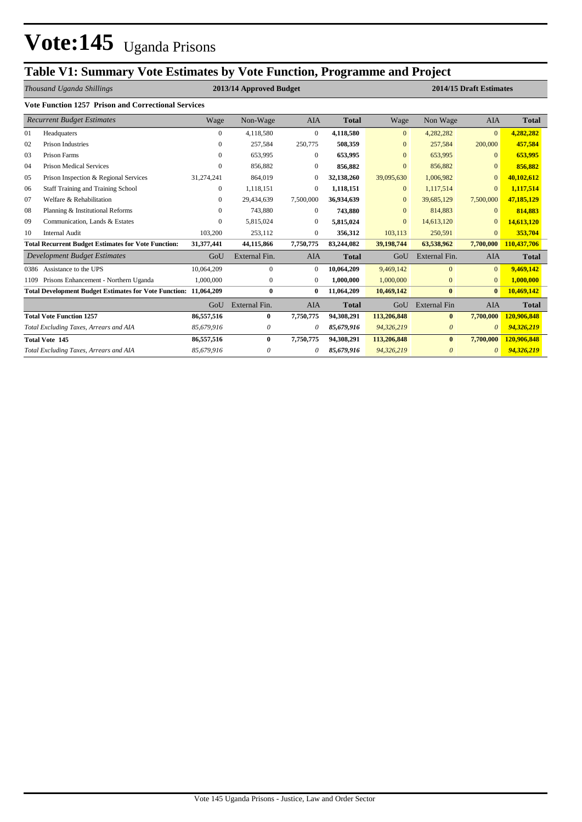### **Table V1: Summary Vote Estimates by Vote Function, Programme and Project**

*Thousand Uganda Shillings* **2013/14 Approved Budget 2014/15 Draft Estimates**

|      | <b>Vote Function 1257 Prison and Correctional Services</b>              |                |               |              |              |                |                       |              |              |
|------|-------------------------------------------------------------------------|----------------|---------------|--------------|--------------|----------------|-----------------------|--------------|--------------|
|      | <b>Recurrent Budget Estimates</b>                                       | Wage           | Non-Wage      | <b>AIA</b>   | Total        | Wage           | Non Wage              | <b>AIA</b>   | <b>Total</b> |
| 01   | Headquaters                                                             | $\overline{0}$ | 4,118,580     | $\mathbf{0}$ | 4,118,580    | $\overline{0}$ | 4,282,282             | $\mathbf{0}$ | 4,282,282    |
| 02   | <b>Prison Industries</b>                                                | 0              | 257,584       | 250,775      | 508,359      | $\mathbf{0}$   | 257,584               | 200,000      | 457,584      |
| 03   | <b>Prison Farms</b>                                                     | $\mathbf{0}$   | 653.995       | $\Omega$     | 653,995      | $\overline{0}$ | 653.995               | $\mathbf{0}$ | 653,995      |
| 04   | <b>Prison Medical Services</b>                                          | $\mathbf{0}$   | 856,882       | $\mathbf{0}$ | 856,882      | $\mathbf{0}$   | 856,882               | $\Omega$     | 856,882      |
| 05   | Prison Inspection & Regional Services                                   | 31,274,241     | 864,019       | $\Omega$     | 32,138,260   | 39,095,630     | 1,006,982             | $\Omega$     | 40,102,612   |
| 06   | <b>Staff Training and Training School</b>                               | $\mathbf{0}$   | 1,118,151     | $\Omega$     | 1,118,151    | $\mathbf{0}$   | 1,117,514             | $\Omega$     | 1,117,514    |
| 07   | Welfare & Rehabilitation                                                | $\Omega$       | 29,434,639    | 7,500,000    | 36,934,639   | $\overline{0}$ | 39,685,129            | 7,500,000    | 47,185,129   |
| 08   | Planning & Institutional Reforms                                        | $\Omega$       | 743,880       | $\Omega$     | 743,880      | $\overline{0}$ | 814,883               | $\Omega$     | 814,883      |
| 09   | Communication, Lands & Estates                                          | $\Omega$       | 5,815,024     | $\Omega$     | 5,815,024    | $\mathbf{0}$   | 14,613,120            | $\mathbf{0}$ | 14,613,120   |
| 10   | <b>Internal Audit</b>                                                   | 103,200        | 253,112       | $\mathbf{0}$ | 356,312      | 103,113        | 250,591               | $\Omega$     | 353,704      |
|      | <b>Total Recurrent Budget Estimates for Vote Function:</b>              | 31,377,441     | 44,115,866    | 7,750,775    | 83,244,082   | 39,198,744     | 63,538,962            | 7,700,000    | 110,437,706  |
|      | <b>Development Budget Estimates</b>                                     | GoU            | External Fin. | <b>AIA</b>   | <b>Total</b> | GoU            | External Fin.         | <b>AIA</b>   | <b>Total</b> |
| 0386 | Assistance to the UPS                                                   | 10,064,209     | $\Omega$      | $\Omega$     | 10,064,209   | 9,469,142      | $\Omega$              | $\Omega$     | 9,469,142    |
| 1109 | Prisons Enhancement - Northern Uganda                                   | 1,000,000      | $\mathbf{0}$  | $\mathbf{0}$ | 1,000,000    | 1,000,000      | $\overline{0}$        | $\mathbf{0}$ | 1,000,000    |
|      | <b>Total Development Budget Estimates for Vote Function: 11,064,209</b> |                | $\bf{0}$      | 0            | 11,064,209   | 10,469,142     | $\bf{0}$              | $\bf{0}$     | 10,469,142   |
|      |                                                                         | GoU            | External Fin. | <b>AIA</b>   | <b>Total</b> | GoU            | <b>External Fin</b>   | <b>AIA</b>   | <b>Total</b> |
|      | <b>Total Vote Function 1257</b>                                         | 86,557,516     | $\bf{0}$      | 7,750,775    | 94,308,291   | 113,206,848    | $\bf{0}$              | 7,700,000    | 120,906,848  |
|      | Total Excluding Taxes, Arrears and AIA                                  | 85,679,916     | 0             | 0            | 85,679,916   | 94,326,219     | $\boldsymbol{\theta}$ | $\theta$     | 94,326,219   |
|      | <b>Total Vote 145</b>                                                   | 86,557,516     | 0             | 7,750,775    | 94,308,291   | 113,206,848    | $\mathbf{0}$          | 7,700,000    | 120,906,848  |
|      | Total Excluding Taxes, Arrears and AIA                                  | 85,679,916     | 0             |              | 85,679,916   | 94,326,219     | $\theta$              | $\theta$     | 94.326.219   |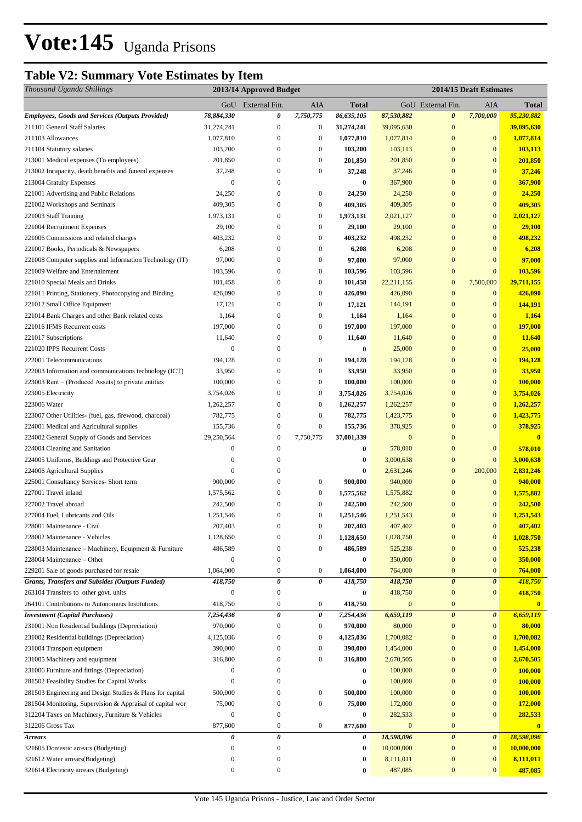## **Table V2: Summary Vote Estimates by Item**

| Thousand Uganda Shillings                                                     |                       | 2013/14 Approved Budget          |                               |                       |                         |                              | 2014/15 Draft Estimates            |                     |
|-------------------------------------------------------------------------------|-----------------------|----------------------------------|-------------------------------|-----------------------|-------------------------|------------------------------|------------------------------------|---------------------|
|                                                                               |                       | GoU External Fin.                | AIA                           | <b>Total</b>          |                         | GoU External Fin.            | AIA                                | <b>Total</b>        |
| <b>Employees, Goods and Services (Outputs Provided)</b>                       | 78,884,330            | 0                                | 7,750,775                     | 86,635,105            | 87,530,882              | $\boldsymbol{\theta}$        | 7,700,000                          | 95,230,882          |
| 211101 General Staff Salaries                                                 | 31,274,241            | $\boldsymbol{0}$                 | $\boldsymbol{0}$              | 31,274,241            | 39,095,630              | $\boldsymbol{0}$             |                                    | 39,095,630          |
| 211103 Allowances                                                             | 1,077,810             | $\boldsymbol{0}$                 | $\boldsymbol{0}$              | 1,077,810             | 1,077,814               | $\mathbf{0}$                 | $\mathbf{0}$                       | 1,077,814           |
| 211104 Statutory salaries                                                     | 103,200               | $\boldsymbol{0}$                 | $\boldsymbol{0}$              | 103,200               | 103,113                 | $\mathbf{0}$                 | $\mathbf{0}$                       | 103,113             |
| 213001 Medical expenses (To employees)                                        | 201,850               | $\overline{0}$                   | $\boldsymbol{0}$              | 201,850               | 201,850                 | $\mathbf{0}$                 | $\mathbf{0}$                       | 201,850             |
| 213002 Incapacity, death benefits and funeral expenses                        | 37,248                | $\mathbf{0}$                     | $\mathbf{0}$                  | 37,248                | 37,246                  | $\mathbf{0}$                 | $\mathbf{0}$                       | 37,246              |
| 213004 Gratuity Expenses                                                      | $\mathbf{0}$          | 0                                |                               | $\bf{0}$              | 367,900                 | $\mathbf{0}$                 | $\boldsymbol{0}$                   | 367,900             |
| 221001 Advertising and Public Relations                                       | 24,250                | 0                                | $\boldsymbol{0}$              | 24,250                | 24,250                  | $\mathbf{0}$                 | $\mathbf{0}$                       | 24,250              |
| 221002 Workshops and Seminars                                                 | 409,305               | $\boldsymbol{0}$                 | $\boldsymbol{0}$              | 409,305               | 409,305                 | $\mathbf{0}$                 | $\mathbf{0}$                       | 409,305             |
| 221003 Staff Training                                                         | 1,973,131             | $\boldsymbol{0}$                 | $\boldsymbol{0}$              | 1,973,131             | 2,021,127               | $\mathbf{0}$                 | $\mathbf{0}$                       | 2,021,127           |
| 221004 Recruitment Expenses                                                   | 29,100                | 0                                | $\boldsymbol{0}$              | 29,100                | 29,100                  | $\mathbf{0}$                 | $\mathbf{0}$                       | 29,100              |
| 221006 Commissions and related charges                                        | 403,232               | $\boldsymbol{0}$                 | $\boldsymbol{0}$              | 403,232               | 498,232                 | $\mathbf{0}$                 | $\mathbf{0}$                       | 498,232             |
| 221007 Books, Periodicals & Newspapers                                        | 6,208                 | $\boldsymbol{0}$                 | $\boldsymbol{0}$              | 6,208                 | 6,208                   | $\mathbf{0}$                 | $\mathbf{0}$                       | 6,208               |
| 221008 Computer supplies and Information Technology (IT)                      | 97,000                | $\overline{0}$                   | $\boldsymbol{0}$              | 97,000                | 97,000                  | $\mathbf{0}$                 | $\mathbf{0}$                       | 97,000              |
| 221009 Welfare and Entertainment                                              | 103,596               | $\boldsymbol{0}$                 | $\boldsymbol{0}$              | 103,596               | 103,596                 | $\mathbf{0}$                 | $\mathbf{0}$                       | 103,596             |
| 221010 Special Meals and Drinks                                               | 101,458               | 0                                | $\boldsymbol{0}$              | 101,458               | 22, 211, 155            | $\boldsymbol{0}$             | 7,500,000                          | 29,711,155          |
| 221011 Printing, Stationery, Photocopying and Binding                         | 426,090               | 0                                | $\boldsymbol{0}$              | 426,090               | 426,090                 | $\boldsymbol{0}$             | $\bf{0}$                           | 426,090             |
| 221012 Small Office Equipment                                                 | 17,121                | $\boldsymbol{0}$                 | $\boldsymbol{0}$              | 17,121                | 144,191                 | $\mathbf{0}$                 | $\mathbf{0}$                       | 144,191             |
| 221014 Bank Charges and other Bank related costs                              | 1,164                 | $\boldsymbol{0}$                 | $\boldsymbol{0}$              | 1,164                 | 1,164                   | $\mathbf{0}$                 | $\mathbf{0}$                       | 1,164               |
| 221016 IFMS Recurrent costs                                                   | 197,000               | $\boldsymbol{0}$                 | $\boldsymbol{0}$              | 197,000               | 197,000                 | $\mathbf{0}$                 | $\mathbf{0}$                       | 197,000             |
| 221017 Subscriptions                                                          | 11,640                | $\overline{0}$                   | $\boldsymbol{0}$              | 11,640                | 11,640                  | $\mathbf{0}$                 | $\mathbf{0}$                       | <b>11,640</b>       |
| 221020 IPPS Recurrent Costs                                                   | $\mathbf{0}$          | $\overline{0}$                   |                               | $\bf{0}$              | 25,000                  | $\mathbf{0}$                 | $\mathbf{0}$                       | 25,000              |
| 222001 Telecommunications                                                     | 194,128               | $\overline{0}$                   | $\boldsymbol{0}$              | 194,128               | 194,128                 | $\mathbf{0}$                 | $\boldsymbol{0}$                   | 194,128             |
| 222003 Information and communications technology (ICT)                        | 33,950                | $\overline{0}$                   | $\boldsymbol{0}$              | 33,950                | 33,950                  | $\mathbf{0}$                 | $\boldsymbol{0}$                   | 33,950              |
| 223003 Rent – (Produced Assets) to private entities                           | 100,000               | $\mathbf{0}$                     | $\boldsymbol{0}$              | 100,000               | 100,000                 | $\mathbf{0}$                 | $\bf{0}$                           | 100,000             |
| 223005 Electricity                                                            | 3,754,026             | 0                                | $\boldsymbol{0}$              | 3,754,026             | 3,754,026               | $\mathbf{0}$                 | $\boldsymbol{0}$                   | 3,754,026           |
| 223006 Water                                                                  | 1,262,257             | 0                                | $\boldsymbol{0}$              | 1,262,257             | 1,262,257               | $\mathbf{0}$                 | $\boldsymbol{0}$                   | 1,262,257           |
| 223007 Other Utilities- (fuel, gas, firewood, charcoal)                       | 782,775               | $\boldsymbol{0}$                 | $\boldsymbol{0}$              | 782,775               | 1,423,775               | $\mathbf{0}$                 | $\boldsymbol{0}$<br>$\overline{0}$ | 1,423,775           |
| 224001 Medical and Agricultural supplies                                      | 155,736<br>29,250,564 | $\boldsymbol{0}$<br>$\mathbf{0}$ | $\boldsymbol{0}$<br>7,750,775 | 155,736<br>37,001,339 | 378,925<br>$\mathbf{0}$ | $\mathbf{0}$<br>$\mathbf{0}$ |                                    | 378,925<br>$\bf{0}$ |
| 224002 General Supply of Goods and Services<br>224004 Cleaning and Sanitation | $\boldsymbol{0}$      | 0                                |                               | $\bf{0}$              | 578,010                 | $\mathbf{0}$                 | $\mathbf{0}$                       | 578,010             |
| 224005 Uniforms, Beddings and Protective Gear                                 | $\mathbf{0}$          | 0                                |                               | $\bf{0}$              | 3,000,638               | $\mathbf{0}$                 | $\mathbf{0}$                       | 3,000,638           |
| 224006 Agricultural Supplies                                                  | $\mathbf{0}$          | $\overline{0}$                   |                               | $\bf{0}$              | 2,631,246               | $\mathbf{0}$                 | 200,000                            | 2,831,246           |
| 225001 Consultancy Services- Short term                                       | 900,000               | $\mathbf{0}$                     | $\boldsymbol{0}$              | 900,000               | 940,000                 | $\boldsymbol{0}$             | $\mathbf{0}$                       | 940,000             |
| 227001 Travel inland                                                          | 1,575,562             | 0                                | $\boldsymbol{0}$              | 1,575,562             | 1,575,882               | $\boldsymbol{0}$             | $\bf{0}$                           | 1,575,882           |
| 227002 Travel abroad                                                          | 242,500               | 0                                | $\boldsymbol{0}$              | 242,500               | 242,500                 | $\mathbf{0}$                 | $\mathbf{0}$                       | 242,500             |
| 227004 Fuel, Lubricants and Oils                                              | 1,251,546             | $\overline{0}$                   | $\boldsymbol{0}$              | 1,251,546             | 1,251,543               | $\overline{0}$               | $\overline{0}$                     | 1,251,543           |
| 228001 Maintenance - Civil                                                    | 207,403               | $\boldsymbol{0}$                 | $\boldsymbol{0}$              | 207,403               | 407,402                 | $\boldsymbol{0}$             | $\mathbf{0}$                       | 407,402             |
| 228002 Maintenance - Vehicles                                                 | 1,128,650             | $\boldsymbol{0}$                 | $\boldsymbol{0}$              | 1,128,650             | 1,028,750               | $\mathbf{0}$                 | $\mathbf{0}$                       | 1,028,750           |
| 228003 Maintenance – Machinery, Equipment & Furniture                         | 486,589               | $\boldsymbol{0}$                 | $\boldsymbol{0}$              | 486,589               | 525,238                 | $\boldsymbol{0}$             | $\mathbf{0}$                       | 525,238             |
| 228004 Maintenance – Other                                                    | $\boldsymbol{0}$      | $\boldsymbol{0}$                 |                               | $\bf{0}$              | 350,000                 | $\boldsymbol{0}$             | $\mathbf{0}$                       | 350,000             |
| 229201 Sale of goods purchased for resale                                     | 1,064,000             | $\boldsymbol{0}$                 | $\boldsymbol{0}$              | 1,064,000             | 764,000                 | $\boldsymbol{0}$             | $\bf{0}$                           | 764,000             |
| Grants, Transfers and Subsides (Outputs Funded)                               | 418,750               | $\pmb{\theta}$                   | 0                             | 418,750               | 418,750                 | $\boldsymbol{\theta}$        | 0                                  | 418,750             |
| 263104 Transfers to other govt. units                                         | $\boldsymbol{0}$      | $\boldsymbol{0}$                 |                               | $\bf{0}$              | 418,750                 | $\bf{0}$                     | $\mathbf{0}$                       | 418,750             |
| 264101 Contributions to Autonomous Institutions                               | 418,750               | $\boldsymbol{0}$                 | $\boldsymbol{0}$              | 418,750               | $\boldsymbol{0}$        | $\mathbf{0}$                 |                                    | $\bf{0}$            |
| <b>Investment</b> (Capital Purchases)                                         | 7,254,436             | $\pmb{\theta}$                   | 0                             | 7,254,436             | 6,659,119               | $\pmb{\theta}$               | 0                                  | 6,659,119           |
| 231001 Non Residential buildings (Depreciation)                               | 970,000               | $\boldsymbol{0}$                 | $\boldsymbol{0}$              | 970,000               | 80,000                  | $\boldsymbol{0}$             | $\boldsymbol{0}$                   | 80,000              |
| 231002 Residential buildings (Depreciation)                                   | 4,125,036             | $\boldsymbol{0}$                 | $\boldsymbol{0}$              | 4,125,036             | 1,700,082               | $\boldsymbol{0}$             | $\boldsymbol{0}$                   | 1,700,082           |
| 231004 Transport equipment                                                    | 390,000               | 0                                | $\boldsymbol{0}$              | 390,000               | 1,454,000               | $\boldsymbol{0}$             | $\mathbf{0}$                       | 1,454,000           |
| 231005 Machinery and equipment                                                | 316,800               | $\overline{0}$                   | $\boldsymbol{0}$              | 316,800               | 2,670,505               | $\mathbf{0}$                 | $\mathbf{0}$                       | 2,670,505           |
| 231006 Furniture and fittings (Depreciation)                                  | $\boldsymbol{0}$      | 0                                |                               | $\bf{0}$              | 100,000                 | $\mathbf{0}$                 | $\mathbf{0}$                       | 100,000             |
| 281502 Feasibility Studies for Capital Works                                  | $\boldsymbol{0}$      | 0                                |                               | $\bf{0}$              | 100,000                 | $\mathbf{0}$                 | $\mathbf{0}$                       | 100,000             |
| 281503 Engineering and Design Studies & Plans for capital                     | 500,000               | 0                                | $\boldsymbol{0}$              | 500,000               | 100,000                 | $\mathbf{0}$                 | $\mathbf{0}$                       | 100,000             |
| 281504 Monitoring, Supervision & Appraisal of capital wor                     | 75,000                | 0                                | $\boldsymbol{0}$              | 75,000                | 172,000                 | $\boldsymbol{0}$             | $\boldsymbol{0}$                   | 172,000             |
| 312204 Taxes on Machinery, Furniture & Vehicles                               | $\boldsymbol{0}$      | $\boldsymbol{0}$                 |                               | $\bf{0}$              | 282,533                 | $\boldsymbol{0}$             | $\mathbf{0}$                       | 282,533             |
| 312206 Gross Tax                                                              | 877,600               | 0                                | $\boldsymbol{0}$              | 877,600               | $\mathbf{0}$            | $\mathbf{0}$                 |                                    | $\mathbf{0}$        |
| <b>Arrears</b>                                                                | 0                     | 0                                |                               | 0                     | 18,598,096              | $\boldsymbol{\theta}$        | $\boldsymbol{\theta}$              | 18,598,096          |
| 321605 Domestic arrears (Budgeting)                                           | $\boldsymbol{0}$      | $\boldsymbol{0}$                 |                               | $\bf{0}$              | 10,000,000              | $\boldsymbol{0}$             | $\mathbf{0}$                       | 10,000,000          |
| 321612 Water arrears(Budgeting)                                               | $\boldsymbol{0}$      | $\boldsymbol{0}$                 |                               | $\bf{0}$              | 8,111,011               | $\boldsymbol{0}$             | $\mathbf{0}$                       | 8,111,011           |
| 321614 Electricity arrears (Budgeting)                                        | $\boldsymbol{0}$      | $\boldsymbol{0}$                 |                               | 0                     | 487,085                 | $\boldsymbol{0}$             | $\mathbf{0}$                       | 487,085             |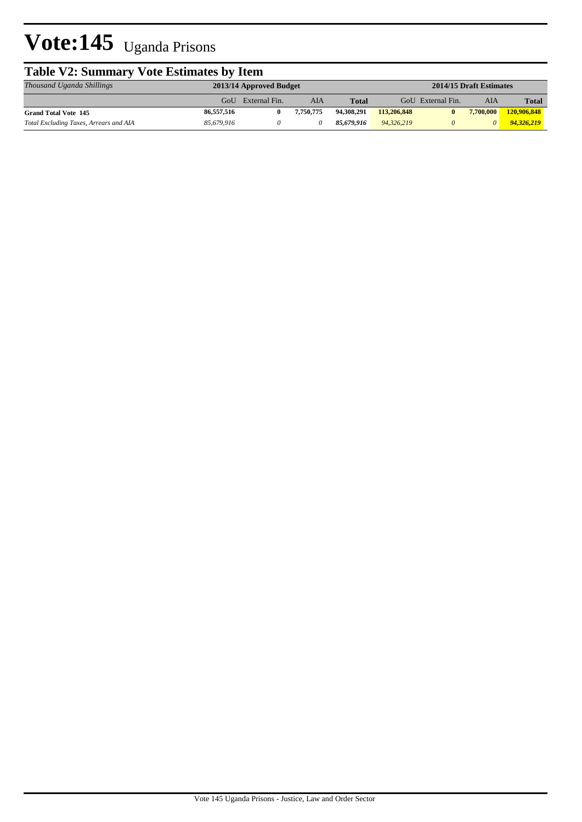| <b>Table V2: Summary Vote Estimates by Item</b>                                 |            |               |           |              |             |                   |           |              |  |  |
|---------------------------------------------------------------------------------|------------|---------------|-----------|--------------|-------------|-------------------|-----------|--------------|--|--|
| 2014/15 Draft Estimates<br>Thousand Uganda Shillings<br>2013/14 Approved Budget |            |               |           |              |             |                   |           |              |  |  |
|                                                                                 | GoU        | External Fin. | AIA       | <b>Total</b> |             | GoU External Fin. | AIA       | <b>Total</b> |  |  |
| <b>Grand Total Vote 145</b>                                                     | 86,557,516 | 0             | 7.750.775 | 94.308.291   | 113,206,848 | $\mathbf{0}$      | 7,700,000 | 120,906,848  |  |  |
| Total Excluding Taxes, Arrears and AIA                                          | 85,679,916 |               |           | 85.679.916   | 94,326,219  | 0                 | $\theta$  | 94.326.219   |  |  |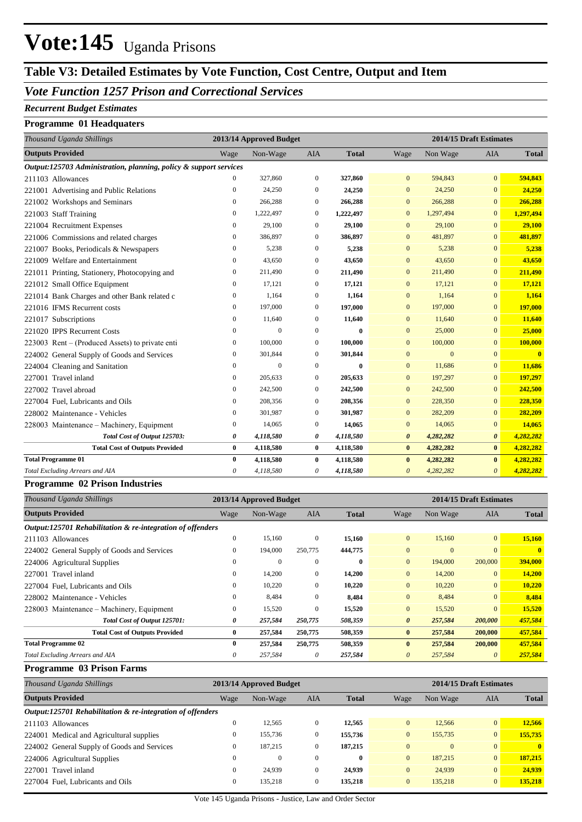### **Table V3: Detailed Estimates by Vote Function, Cost Centre, Output and Item**

### *Vote Function 1257 Prison and Correctional Services*

### *Recurrent Budget Estimates*

### **Programme 01 Headquaters**

| Thousand Uganda Shillings                                         |                  | 2013/14 Approved Budget |                  |              |              | 2014/15 Draft Estimates |                       |              |
|-------------------------------------------------------------------|------------------|-------------------------|------------------|--------------|--------------|-------------------------|-----------------------|--------------|
| <b>Outputs Provided</b>                                           | Wage             | Non-Wage                | <b>AIA</b>       | <b>Total</b> | Wage         | Non Wage                | <b>AIA</b>            | <b>Total</b> |
| Output:125703 Administration, planning, policy & support services |                  |                         |                  |              |              |                         |                       |              |
| 211103 Allowances                                                 | 0                | 327,860                 | $\boldsymbol{0}$ | 327,860      | $\mathbf{0}$ | 594,843                 | $\mathbf{0}$          | 594,843      |
| 221001 Advertising and Public Relations                           | 0                | 24,250                  | $\mathbf{0}$     | 24,250       | $\mathbf{0}$ | 24,250                  | $\mathbf{0}$          | 24,250       |
| 221002 Workshops and Seminars                                     | $\mathbf{0}$     | 266,288                 | $\mathbf{0}$     | 266,288      | $\mathbf{0}$ | 266,288                 | $\overline{0}$        | 266,288      |
| 221003 Staff Training                                             | $\overline{0}$   | 1,222,497               | $\mathbf{0}$     | 1,222,497    | $\mathbf{0}$ | 1,297,494               | $\overline{0}$        | 1,297,494    |
| 221004 Recruitment Expenses                                       | $\boldsymbol{0}$ | 29,100                  | $\mathbf{0}$     | 29,100       | $\mathbf{0}$ | 29,100                  | $\overline{0}$        | 29,100       |
| 221006 Commissions and related charges                            | $\mathbf{0}$     | 386,897                 | $\mathbf{0}$     | 386,897      | $\mathbf{0}$ | 481,897                 | $\mathbf{0}$          | 481,897      |
| 221007 Books, Periodicals & Newspapers                            | $\boldsymbol{0}$ | 5,238                   | $\mathbf{0}$     | 5,238        | $\mathbf{0}$ | 5,238                   | $\overline{0}$        | 5,238        |
| 221009 Welfare and Entertainment                                  | $\mathbf{0}$     | 43,650                  | $\mathbf{0}$     | 43,650       | $\mathbf{0}$ | 43,650                  | $\mathbf{0}$          | 43,650       |
| 221011 Printing, Stationery, Photocopying and                     | $\boldsymbol{0}$ | 211,490                 | $\mathbf{0}$     | 211,490      | $\mathbf{0}$ | 211,490                 | $\overline{0}$        | 211,490      |
| 221012 Small Office Equipment                                     | $\boldsymbol{0}$ | 17,121                  | $\boldsymbol{0}$ | 17,121       | $\mathbf{0}$ | 17,121                  | $\mathbf{0}$          | 17,121       |
| 221014 Bank Charges and other Bank related c                      | 0                | 1,164                   | $\mathbf{0}$     | 1,164        | $\mathbf{0}$ | 1,164                   | $\Omega$              | 1,164        |
| 221016 IFMS Recurrent costs                                       | 0                | 197,000                 | $\mathbf{0}$     | 197,000      | $\mathbf{0}$ | 197,000                 | $\mathbf{0}$          | 197,000      |
| 221017 Subscriptions                                              | $\mathbf{0}$     | 11,640                  | $\mathbf{0}$     | 11,640       | $\Omega$     | 11,640                  | $\overline{0}$        | 11,640       |
| 221020 IPPS Recurrent Costs                                       | $\mathbf{0}$     | $\overline{0}$          | $\mathbf{0}$     | $\mathbf{0}$ | $\mathbf{0}$ | 25,000                  | $\mathbf{0}$          | 25,000       |
| 223003 Rent - (Produced Assets) to private enti                   | $\mathbf{0}$     | 100,000                 | $\mathbf{0}$     | 100.000      | $\mathbf{0}$ | 100,000                 | $\overline{0}$        | 100,000      |
| 224002 General Supply of Goods and Services                       | $\mathbf{0}$     | 301,844                 | $\mathbf{0}$     | 301,844      | $\mathbf{0}$ | $\mathbf{0}$            | $\mathbf{0}$          | $\mathbf{0}$ |
| 224004 Cleaning and Sanitation                                    | $\overline{0}$   | $\overline{0}$          | $\mathbf{0}$     | $\mathbf{0}$ | $\mathbf{0}$ | 11.686                  | $\overline{0}$        | 11,686       |
| 227001 Travel inland                                              | $\mathbf{0}$     | 205,633                 | $\mathbf{0}$     | 205,633      | $\mathbf{0}$ | 197,297                 | $\overline{0}$        | 197,297      |
| 227002 Travel abroad                                              | 0                | 242,500                 | $\mathbf{0}$     | 242,500      | $\mathbf{0}$ | 242,500                 | $\overline{0}$        | 242,500      |
| 227004 Fuel, Lubricants and Oils                                  | 0                | 208,356                 | $\mathbf{0}$     | 208,356      | $\mathbf{0}$ | 228,350                 | $\overline{0}$        | 228,350      |
| 228002 Maintenance - Vehicles                                     | $\overline{0}$   | 301,987                 | $\mathbf{0}$     | 301,987      | $\mathbf{0}$ | 282,209                 | $\overline{0}$        | 282,209      |
| 228003 Maintenance – Machinery, Equipment                         | $\boldsymbol{0}$ | 14,065                  | $\mathbf{0}$     | 14,065       | $\mathbf{0}$ | 14,065                  | $\overline{0}$        | 14,065       |
| Total Cost of Output 125703:                                      | 0                | 4,118,580               | 0                | 4,118,580    | 0            | 4,282,282               | $\boldsymbol{\theta}$ | 4,282,282    |
| <b>Total Cost of Outputs Provided</b>                             | $\bf{0}$         | 4,118,580               | $\bf{0}$         | 4,118,580    | $\bf{0}$     | 4,282,282               | $\bf{0}$              | 4,282,282    |
| <b>Total Programme 01</b>                                         | $\bf{0}$         | 4,118,580               | $\bf{0}$         | 4,118,580    | $\bf{0}$     | 4,282,282               | $\bf{0}$              | 4,282,282    |
| Total Excluding Arrears and AIA                                   | 0                | 4,118,580               | 0                | 4,118,580    | $\theta$     | 4,282,282               | $\theta$              | 4,282,282    |

### **Programme 02 Prison Industries**

| Thousand Uganda Shillings                                  |              | 2013/14 Approved Budget |                |              |                       | 2014/15 Draft Estimates |                |              |
|------------------------------------------------------------|--------------|-------------------------|----------------|--------------|-----------------------|-------------------------|----------------|--------------|
| <b>Outputs Provided</b>                                    | Wage         | Non-Wage                | <b>AIA</b>     | <b>Total</b> | Wage                  | Non Wage                | <b>AIA</b>     | <b>Total</b> |
| Output:125701 Rehabilitation & re-integration of offenders |              |                         |                |              |                       |                         |                |              |
| 211103 Allowances                                          | $\mathbf{0}$ | 15,160                  | $\overline{0}$ | 15,160       | $\overline{0}$        | 15,160                  | $\overline{0}$ | 15,160       |
| 224002 General Supply of Goods and Services                | $\mathbf{0}$ | 194,000                 | 250,775        | 444,775      | $\mathbf{0}$          | $\Omega$                | $\overline{0}$ | $\mathbf{0}$ |
| 224006 Agricultural Supplies                               | $\theta$     | $\mathbf{0}$            | $\mathbf{0}$   | 0            | $\overline{0}$        | 194,000                 | 200,000        | 394,000      |
| 227001 Travel inland                                       | $\Omega$     | 14,200                  | $\mathbf{0}$   | 14,200       | $\overline{0}$        | 14,200                  | $\overline{0}$ | 14,200       |
| 227004 Fuel, Lubricants and Oils                           | $\Omega$     | 10,220                  | $\mathbf{0}$   | 10,220       | $\overline{0}$        | 10,220                  | $\overline{0}$ | 10,220       |
| 228002 Maintenance - Vehicles                              | $\Omega$     | 8.484                   | $\Omega$       | 8.484        | $\overline{0}$        | 8.484                   | $\overline{0}$ | 8,484        |
| 228003 Maintenance – Machinery, Equipment                  | $\mathbf{0}$ | 15,520                  | $\mathbf{0}$   | 15,520       | $\overline{0}$        | 15,520                  | $\overline{0}$ | 15,520       |
| Total Cost of Output 125701:                               | 0            | 257,584                 | 250,775        | 508,359      | $\boldsymbol{\theta}$ | 257,584                 | 200,000        | 457,584      |
| <b>Total Cost of Outputs Provided</b>                      | $\bf{0}$     | 257,584                 | 250,775        | 508,359      | $\bf{0}$              | 257,584                 | 200,000        | 457,584      |
| <b>Total Programme 02</b>                                  | 0            | 257,584                 | 250,775        | 508,359      | $\mathbf{0}$          | 257,584                 | 200,000        | 457,584      |
| Total Excluding Arrears and AIA                            | 0            | 257,584                 | $\theta$       | 257,584      | $\theta$              | 257,584                 | $\theta$       | 257,584      |

#### **Programme 03 Prison Farms**

|              |                                                            |              |                         |                |          | 2014/15 Draft Estimates |              |  |  |
|--------------|------------------------------------------------------------|--------------|-------------------------|----------------|----------|-------------------------|--------------|--|--|
| Wage         | Non-Wage                                                   | <b>AIA</b>   | <b>Total</b>            | Wage           | Non Wage | AIA                     | <b>Total</b> |  |  |
|              |                                                            |              |                         |                |          |                         |              |  |  |
| $\mathbf{0}$ | 12,565                                                     | $\mathbf{0}$ | 12.565                  | $\Omega$       | 12.566   | $\overline{0}$          | 12,566       |  |  |
| $\mathbf{0}$ | 155,736                                                    | $\mathbf{0}$ | 155,736                 | $\overline{0}$ | 155,735  | $\overline{0}$          | 155,735      |  |  |
| $\mathbf{0}$ | 187.215                                                    | $\mathbf{0}$ | 187,215                 | $\Omega$       | $\Omega$ | $\overline{0}$          | $\mathbf{0}$ |  |  |
| $\mathbf{0}$ | $\mathbf{0}$                                               | $\mathbf{0}$ | $\bf{0}$                | $\overline{0}$ | 187,215  | $\overline{0}$          | 187,215      |  |  |
| $\mathbf{0}$ | 24.939                                                     | $\mathbf{0}$ | 24,939                  | $\overline{0}$ | 24.939   | $\overline{0}$          | 24,939       |  |  |
| $\mathbf{0}$ | 135,218                                                    | $\mathbf{0}$ | 135,218                 | $\overline{0}$ | 135,218  | $\overline{0}$          | 135,218      |  |  |
|              | Output:125701 Rehabilitation & re-integration of offenders |              | 2013/14 Approved Budget |                |          |                         |              |  |  |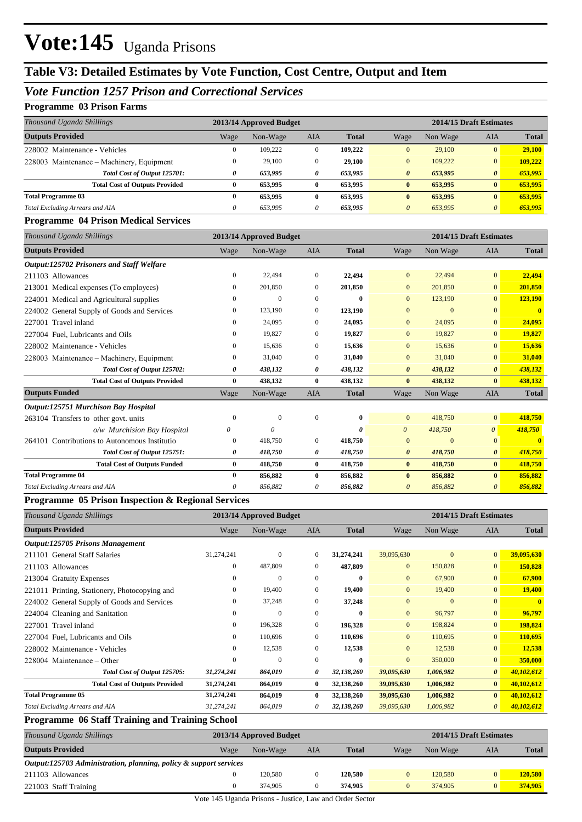### **Table V3: Detailed Estimates by Vote Function, Cost Centre, Output and Item**

### *Vote Function 1257 Prison and Correctional Services*

### **Programme 03 Prison Farms**

| Thousand Uganda Shillings                 |      | 2013/14 Approved Budget |              |              | 2014/15 Draft Estimates |          |                       |              |
|-------------------------------------------|------|-------------------------|--------------|--------------|-------------------------|----------|-----------------------|--------------|
| <b>Outputs Provided</b>                   | Wage | Non-Wage                | AIA          | <b>Total</b> | Wage                    | Non Wage | AIA                   | <b>Total</b> |
| 228002 Maintenance - Vehicles             | 0    | 109.222                 | $\mathbf{0}$ | 109.222      | $\mathbf{0}$            | 29,100   | $\overline{0}$        | 29,100       |
| 228003 Maintenance – Machinery, Equipment | 0    | 29.100                  | $\mathbf{0}$ | 29,100       | $\overline{0}$          | 109,222  | $\overline{0}$        | 109,222      |
| Total Cost of Output 125701:              | 0    | 653.995                 | 0            | 653.995      | $\boldsymbol{\theta}$   | 653.995  | $\boldsymbol{\theta}$ | 653,995      |
| <b>Total Cost of Outputs Provided</b>     | 0    | 653,995                 | $\mathbf{0}$ | 653.995      | $\bf{0}$                | 653,995  | $\mathbf{0}$          | 653.995      |
| <b>Total Programme 03</b>                 | 0    | 653,995                 | $\bf{0}$     | 653.995      | $\bf{0}$                | 653,995  | $\mathbf{0}$          | 653,995      |
| Total Excluding Arrears and AIA           | 0    | 653,995                 | 0            | 653,995      | $\theta$                | 653,995  | $\theta$              | 653,995      |

#### **Programme 04 Prison Medical Services**

| Thousand Uganda Shillings                     |              | 2013/14 Approved Budget |              |              |                       | 2014/15 Draft Estimates |                       |              |
|-----------------------------------------------|--------------|-------------------------|--------------|--------------|-----------------------|-------------------------|-----------------------|--------------|
| <b>Outputs Provided</b>                       | Wage         | Non-Wage                | <b>AIA</b>   | <b>Total</b> | Wage                  | Non Wage                | <b>AIA</b>            | <b>Total</b> |
| Output:125702 Prisoners and Staff Welfare     |              |                         |              |              |                       |                         |                       |              |
| 211103 Allowances                             | $\mathbf{0}$ | 22,494                  | $\mathbf{0}$ | 22,494       | $\overline{0}$        | 22,494                  | $\overline{0}$        | 22,494       |
| 213001 Medical expenses (To employees)        | 0            | 201,850                 | $\mathbf{0}$ | 201,850      | $\mathbf{0}$          | 201,850                 | $\overline{0}$        | 201,850      |
| Medical and Agricultural supplies<br>224001   | $\mathbf{0}$ | $\theta$                | $\mathbf{0}$ | $\bf{0}$     | $\overline{0}$        | 123,190                 | $\overline{0}$        | 123,190      |
| 224002 General Supply of Goods and Services   | 0            | 123,190                 | $\Omega$     | 123,190      | $\overline{0}$        | $\overline{0}$          | $\overline{0}$        | $\mathbf{0}$ |
| Travel inland<br>227001                       | $\mathbf{0}$ | 24,095                  | $\mathbf{0}$ | 24,095       | $\overline{0}$        | 24,095                  | $\overline{0}$        | 24,095       |
| 227004 Fuel, Lubricants and Oils              | $\mathbf{0}$ | 19,827                  | $\mathbf{0}$ | 19,827       | $\overline{0}$        | 19,827                  | $\overline{0}$        | 19,827       |
| 228002 Maintenance - Vehicles                 | $\mathbf{0}$ | 15,636                  | $\mathbf{0}$ | 15,636       | $\overline{0}$        | 15,636                  | $\overline{0}$        | 15,636       |
| 228003 Maintenance – Machinery, Equipment     | $\mathbf{0}$ | 31,040                  | $\Omega$     | 31,040       | $\Omega$              | 31,040                  | $\overline{0}$        | 31,040       |
| Total Cost of Output 125702:                  | 0            | 438,132                 | 0            | 438,132      | $\boldsymbol{\theta}$ | 438,132                 | $\boldsymbol{\theta}$ | 438,132      |
| <b>Total Cost of Outputs Provided</b>         | $\bf{0}$     | 438,132                 | $\bf{0}$     | 438,132      | $\mathbf{0}$          | 438,132                 | $\bf{0}$              | 438,132      |
| <b>Outputs Funded</b>                         | Wage         | Non-Wage                | <b>AIA</b>   | <b>Total</b> | Wage                  | Non Wage                | <b>AIA</b>            | <b>Total</b> |
| Output:125751 Murchison Bay Hospital          |              |                         |              |              |                       |                         |                       |              |
| 263104 Transfers to other govt. units         | $\theta$     | $\mathbf{0}$            | $\mathbf{0}$ | 0            | $\overline{0}$        | 418,750                 | $\overline{0}$        | 418,750      |
| o/w Murchision Bay Hospital                   | 0            | 0                       |              | 0            | $\boldsymbol{\theta}$ | 418,750                 | $\theta$              | 418,750      |
| 264101 Contributions to Autonomous Institutio | $\mathbf{0}$ | 418,750                 | $\mathbf{0}$ | 418,750      | $\mathbf{0}$          | $\mathbf{0}$            | $\mathbf{0}$          | $\mathbf{0}$ |
| Total Cost of Output 125751:                  | 0            | 418,750                 | 0            | 418,750      | $\boldsymbol{\theta}$ | 418,750                 | $\boldsymbol{\theta}$ | 418,750      |
| <b>Total Cost of Outputs Funded</b>           | 0            | 418,750                 | $\bf{0}$     | 418,750      | $\bf{0}$              | 418,750                 | $\mathbf{0}$          | 418,750      |
| <b>Total Programme 04</b>                     | 0            | 856,882                 | $\bf{0}$     | 856,882      | $\mathbf{0}$          | 856,882                 | $\bf{0}$              | 856,882      |
| Total Excluding Arrears and AIA               | 0            | 856,882                 | 0            | 856,882      | 0                     | 856,882                 | 0                     | 856,882      |

#### **Programme 05 Prison Inspection & Regional Services**

| Wage       | Non-Wage     | AIA          | <b>Total</b>            | Wage           | Non Wage     | <b>AIA</b>            | <b>Total</b>            |
|------------|--------------|--------------|-------------------------|----------------|--------------|-----------------------|-------------------------|
|            |              |              |                         |                |              |                       |                         |
| 31,274,241 | $\Omega$     | $\Omega$     | 31,274,241              | 39,095,630     | $\mathbf{0}$ | $\overline{0}$        | 39,095,630              |
| 0          | 487,809      | $\Omega$     | 487,809                 | $\overline{0}$ | 150,828      | $\overline{0}$        | 150,828                 |
| 0          | 0            | $\Omega$     | $\bf{0}$                | $\overline{0}$ | 67,900       | $\overline{0}$        | 67,900                  |
| 0          | 19,400       | $\Omega$     | 19,400                  | $\overline{0}$ | 19,400       | $\Omega$              | 19,400                  |
| 0          | 37,248       | $\mathbf{0}$ | 37,248                  | $\mathbf{0}$   | $\mathbf{0}$ | $\Omega$              | $\mathbf{0}$            |
| 0          | $\mathbf{0}$ | $\mathbf{0}$ | $\bf{0}$                | $\overline{0}$ | 96,797       | $\overline{0}$        | 96,797                  |
| 0          | 196,328      | $\mathbf{0}$ | 196,328                 | $\overline{0}$ | 198,824      | $\overline{0}$        | 198,824                 |
| 0          | 110,696      | $\mathbf{0}$ | 110,696                 | $\overline{0}$ | 110,695      | $\overline{0}$        | 110,695                 |
| 0          | 12,538       | $\mathbf{0}$ | 12,538                  | $\overline{0}$ | 12,538       | $\overline{0}$        | 12,538                  |
| 0          | $\Omega$     | $\mathbf{0}$ | $\mathbf{0}$            | $\mathbf{0}$   | 350,000      | $\overline{0}$        | 350,000                 |
| 31,274,241 | 864,019      | 0            | 32,138,260              | 39,095,630     | 1,006,982    | $\boldsymbol{\theta}$ | 40,102,612              |
| 31,274,241 | 864,019      | $\bf{0}$     | 32,138,260              | 39,095,630     | 1,006,982    | $\bf{0}$              | 40,102,612              |
| 31,274,241 | 864,019      | $\bf{0}$     | 32,138,260              | 39,095,630     | 1,006,982    | $\mathbf{0}$          | 40,102,612              |
| 31,274,241 | 864,019      | 0            | 32,138,260              | 39,095,630     | 1,006,982    | $\theta$              | 40,102,612              |
|            |              |              | 2013/14 Approved Budget |                |              |                       | 2014/15 Draft Estimates |

### **Programme 06 Staff Training and Training School**

| Thousand Uganda Shillings                                         |      | 2013/14 Approved Budget |          |              |      | 2014/15 Draft Estimates |                |              |  |
|-------------------------------------------------------------------|------|-------------------------|----------|--------------|------|-------------------------|----------------|--------------|--|
| <b>Outputs Provided</b>                                           | Wage | Non-Wage                | AIA      | <b>Total</b> | Wage | Non Wage                | AIA            | <b>Total</b> |  |
| Output:125703 Administration, planning, policy & support services |      |                         |          |              |      |                         |                |              |  |
| 211103 Allowances                                                 |      | 120,580                 |          | 120.580      |      | 120,580                 | $\overline{0}$ | 120.580      |  |
| 221003 Staff Training                                             |      | 374,905                 | $\Omega$ | 374,905      |      | 374,905                 | $\overline{0}$ | 374,905      |  |

Vote 145 Uganda Prisons - Justice, Law and Order Sector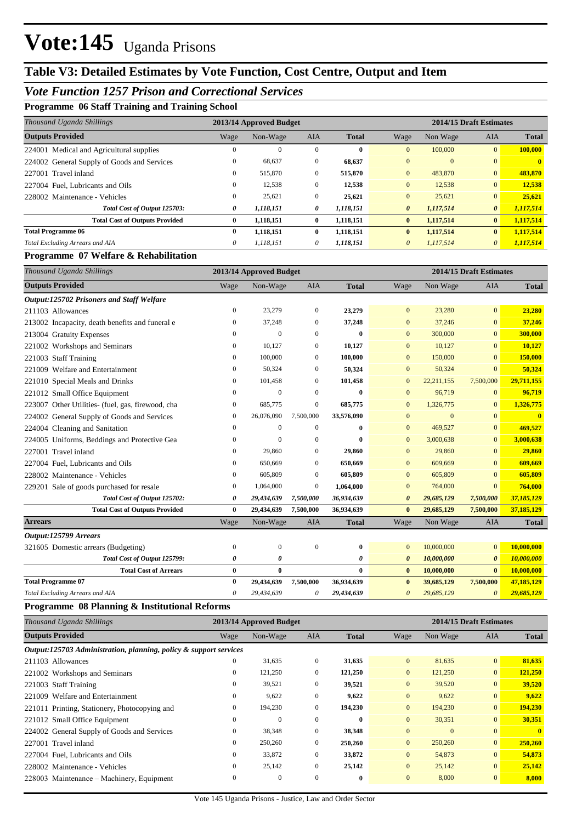### **Table V3: Detailed Estimates by Vote Function, Cost Centre, Output and Item**

### *Vote Function 1257 Prison and Correctional Services*

### **Programme 06 Staff Training and Training School**

| Thousand Uganda Shillings                   |                  | 2013/14 Approved Budget |              |              |                       | 2014/15 Draft Estimates |                       |              |
|---------------------------------------------|------------------|-------------------------|--------------|--------------|-----------------------|-------------------------|-----------------------|--------------|
| <b>Outputs Provided</b>                     | Wage             | Non-Wage                | <b>AIA</b>   | <b>Total</b> | Wage                  | Non Wage                | <b>AIA</b>            | <b>Total</b> |
| 224001 Medical and Agricultural supplies    | $\bf{0}$         | $\mathbf{0}$            | $\Omega$     | $\mathbf{0}$ | $\overline{0}$        | 100,000                 | $\mathbf{0}$          | 100,000      |
| 224002 General Supply of Goods and Services | $\mathbf{0}$     | 68,637                  | $\mathbf{0}$ | 68,637       | $\overline{0}$        | $\Omega$                | $\mathbf{0}$          | $\mathbf{0}$ |
| 227001 Travel inland                        | $\boldsymbol{0}$ | 515,870                 | $\mathbf{0}$ | 515,870      | $\overline{0}$        | 483,870                 | $\mathbf{0}$          | 483,870      |
| 227004 Fuel. Lubricants and Oils            | $\mathbf{0}$     | 12,538                  | $\mathbf{0}$ | 12,538       | $\overline{0}$        | 12,538                  | $\overline{0}$        | 12,538       |
| 228002 Maintenance - Vehicles               | $\mathbf{0}$     | 25,621                  | $\mathbf{0}$ | 25,621       | $\overline{0}$        | 25,621                  | $\mathbf{0}$          | 25,621       |
| Total Cost of Output 125703:                | 0                | 1,118,151               | 0            | 1,118,151    | $\boldsymbol{\theta}$ | 1,117,514               | $\boldsymbol{\theta}$ | 1,117,514    |
| <b>Total Cost of Outputs Provided</b>       | $\bf{0}$         | 1,118,151               | $\bf{0}$     | 1,118,151    | $\bf{0}$              | 1,117,514               | $\bf{0}$              | 1,117,514    |
| <b>Total Programme 06</b>                   | $\bf{0}$         | 1,118,151               | $\mathbf{0}$ | 1,118,151    | $\mathbf{0}$          | 1,117,514               | $\bf{0}$              | 1,117,514    |
| Total Excluding Arrears and AIA             | 0                | 1,118,151               | 0            | 1,118,151    | $\theta$              | 1,117,514               | $\theta$              | 1,117,514    |

### **Programme 07 Welfare & Rehabilitation**

| Thousand Uganda Shillings                         |                  | 2013/14 Approved Budget |              |              |                       |                | 2014/15 Draft Estimates |              |
|---------------------------------------------------|------------------|-------------------------|--------------|--------------|-----------------------|----------------|-------------------------|--------------|
| <b>Outputs Provided</b>                           | Wage             | Non-Wage                | <b>AIA</b>   | <b>Total</b> | Wage                  | Non Wage       | <b>AIA</b>              | <b>Total</b> |
| Output:125702 Prisoners and Staff Welfare         |                  |                         |              |              |                       |                |                         |              |
| 211103 Allowances                                 | $\mathbf{0}$     | 23,279                  | $\mathbf{0}$ | 23,279       | $\Omega$              | 23,280         | $\overline{0}$          | 23,280       |
| 213002 Incapacity, death benefits and funeral e   | $\mathbf{0}$     | 37,248                  | $\mathbf{0}$ | 37,248       | $\Omega$              | 37,246         | $\Omega$                | 37,246       |
| 213004 Gratuity Expenses                          | $\Omega$         | $\Omega$                | $\Omega$     | $\bf{0}$     | $\Omega$              | 300,000        | $\Omega$                | 300,000      |
| 221002 Workshops and Seminars                     | $\mathbf{0}$     | 10,127                  | $\mathbf{0}$ | 10,127       | $\mathbf{0}$          | 10,127         | $\mathbf{0}$            | 10,127       |
| 221003 Staff Training                             | $\mathbf{0}$     | 100,000                 | $\Omega$     | 100,000      | $\mathbf{0}$          | 150,000        | $\overline{0}$          | 150,000      |
| 221009 Welfare and Entertainment                  | $\mathbf{0}$     | 50,324                  | $\Omega$     | 50,324       | $\mathbf{0}$          | 50,324         | $\mathbf{0}$            | 50,324       |
| 221010 Special Meals and Drinks                   | $\mathbf{0}$     | 101,458                 | $\Omega$     | 101,458      | $\bf{0}$              | 22,211,155     | 7,500,000               | 29,711,155   |
| 221012 Small Office Equipment                     | $\mathbf{0}$     | $\mathbf{0}$            | $\mathbf{0}$ | $\bf{0}$     | $\overline{0}$        | 96,719         | $\overline{0}$          | 96,719       |
| 223007 Other Utilities- (fuel, gas, firewood, cha | $\mathbf{0}$     | 685,775                 | $\mathbf{0}$ | 685,775      | $\overline{0}$        | 1,326,775      | $\mathbf{0}$            | 1,326,775    |
| 224002 General Supply of Goods and Services       | $\mathbf{0}$     | 26,076,090              | 7,500,000    | 33,576,090   | $\Omega$              | $\overline{0}$ | $\Omega$                |              |
| 224004 Cleaning and Sanitation                    | $\mathbf{0}$     | $\mathbf{0}$            | $\mathbf{0}$ | 0            | $\mathbf{0}$          | 469,527        | $\overline{0}$          | 469,527      |
| 224005 Uniforms, Beddings and Protective Gea      | $\Omega$         | $\Omega$                | $\Omega$     | 0            | $\overline{0}$        | 3,000,638      | $\overline{0}$          | 3,000,638    |
| 227001 Travel inland                              | $\mathbf{0}$     | 29,860                  | $\Omega$     | 29,860       | $\mathbf{0}$          | 29,860         | $\mathbf{0}$            | 29,860       |
| 227004 Fuel, Lubricants and Oils                  | $\Omega$         | 650,669                 | $\Omega$     | 650,669      | $\mathbf{0}$          | 609,669        | $\Omega$                | 609,669      |
| 228002 Maintenance - Vehicles                     | $\mathbf{0}$     | 605,809                 | $\mathbf{0}$ | 605,809      | $\mathbf{0}$          | 605,809        | $\mathbf{0}$            | 605,809      |
| 229201 Sale of goods purchased for resale         | $\mathbf{0}$     | 1,064,000               | $\mathbf{0}$ | 1,064,000    | $\overline{0}$        | 764,000        | $\overline{0}$          | 764,000      |
| Total Cost of Output 125702:                      | 0                | 29,434,639              | 7,500,000    | 36,934,639   | $\theta$              | 29,685,129     | 7,500,000               | 37,185,129   |
| <b>Total Cost of Outputs Provided</b>             | $\bf{0}$         | 29,434,639              | 7,500,000    | 36,934,639   | $\bf{0}$              | 29,685,129     | 7,500,000               | 37,185,129   |
| <b>Arrears</b>                                    | Wage             | Non-Wage                | <b>AIA</b>   | <b>Total</b> | Wage                  | Non Wage       | <b>AIA</b>              | <b>Total</b> |
| Output:125799 Arrears                             |                  |                         |              |              |                       |                |                         |              |
| 321605 Domestic arrears (Budgeting)               | $\boldsymbol{0}$ | $\boldsymbol{0}$        | $\mathbf{0}$ | $\bf{0}$     | $\overline{0}$        | 10,000,000     | $\mathbf{0}$            | 10,000,000   |
| Total Cost of Output 125799:                      | 0                | 0                       |              | 0            | $\boldsymbol{\theta}$ | 10,000,000     | $\boldsymbol{\theta}$   | 10,000,000   |
| <b>Total Cost of Arrears</b>                      | $\bf{0}$         | $\bf{0}$                |              | $\bf{0}$     | $\mathbf{0}$          | 10,000,000     | $\mathbf{0}$            | 10,000,000   |
| <b>Total Programme 07</b>                         | $\bf{0}$         | 29,434,639              | 7,500,000    | 36,934,639   | $\bf{0}$              | 39,685,129     | 7,500,000               | 47,185,129   |
| Total Excluding Arrears and AIA                   | 0                | 29,434,639              | 0            | 29,434,639   | $\theta$              | 29,685,129     | $\theta$                | 29,685,129   |

### **Programme 08 Planning & Institutional Reforms**

| Thousand Uganda Shillings                                         | 2013/14 Approved Budget |              |                |              |                |              |                |              |  |  | 2014/15 Draft Estimates |  |  |
|-------------------------------------------------------------------|-------------------------|--------------|----------------|--------------|----------------|--------------|----------------|--------------|--|--|-------------------------|--|--|
| <b>Outputs Provided</b>                                           | Wage                    | Non-Wage     | <b>AIA</b>     | <b>Total</b> | Wage           | Non Wage     | <b>AIA</b>     | <b>Total</b> |  |  |                         |  |  |
| Output:125703 Administration, planning, policy & support services |                         |              |                |              |                |              |                |              |  |  |                         |  |  |
| 211103 Allowances                                                 | $\overline{0}$          | 31,635       | $\overline{0}$ | 31,635       | $\overline{0}$ | 81,635       | $\overline{0}$ | 81,635       |  |  |                         |  |  |
| 221002 Workshops and Seminars                                     | $\Omega$                | 121,250      | $\Omega$       | 121,250      | $\overline{0}$ | 121,250      | $\mathbf{0}$   | 121,250      |  |  |                         |  |  |
| 221003 Staff Training                                             | $\mathbf{0}$            | 39,521       | $\mathbf{0}$   | 39,521       | $\overline{0}$ | 39,520       | $\mathbf{0}$   | 39,520       |  |  |                         |  |  |
| 221009 Welfare and Entertainment                                  | $\mathbf{0}$            | 9,622        | $\mathbf{0}$   | 9,622        | $\mathbf{0}$   | 9,622        | $\mathbf{0}$   | 9,622        |  |  |                         |  |  |
| 221011 Printing, Stationery, Photocopying and                     | $\mathbf{0}$            | 194,230      | $\Omega$       | 194,230      | $\mathbf{0}$   | 194,230      | $\mathbf{0}$   | 194,230      |  |  |                         |  |  |
| 221012 Small Office Equipment                                     | 0                       | $\mathbf{0}$ | $\Omega$       | $\bf{0}$     | $\mathbf{0}$   | 30,351       | $\overline{0}$ | 30,351       |  |  |                         |  |  |
| 224002 General Supply of Goods and Services                       | $\Omega$                | 38,348       | $\Omega$       | 38,348       | $\Omega$       | $\mathbf{0}$ | $\mathbf{0}$   | $\mathbf{0}$ |  |  |                         |  |  |
| 227001 Travel inland                                              | $\mathbf{0}$            | 250,260      | $\Omega$       | 250,260      | $\mathbf{0}$   | 250,260      | $\mathbf{0}$   | 250,260      |  |  |                         |  |  |
| 227004 Fuel, Lubricants and Oils                                  | $\Omega$                | 33,872       | $\Omega$       | 33,872       | $\mathbf{0}$   | 54,873       | $\mathbf{0}$   | 54,873       |  |  |                         |  |  |
| 228002 Maintenance - Vehicles                                     | $\mathbf{0}$            | 25,142       | $\mathbf{0}$   | 25,142       | $\mathbf{0}$   | 25,142       | $\mathbf{0}$   | 25,142       |  |  |                         |  |  |
| 228003 Maintenance – Machinery, Equipment                         | 0                       | $\mathbf{0}$ | $\mathbf{0}$   | $\bf{0}$     | $\mathbf{0}$   | 8,000        | $\mathbf{0}$   | 8,000        |  |  |                         |  |  |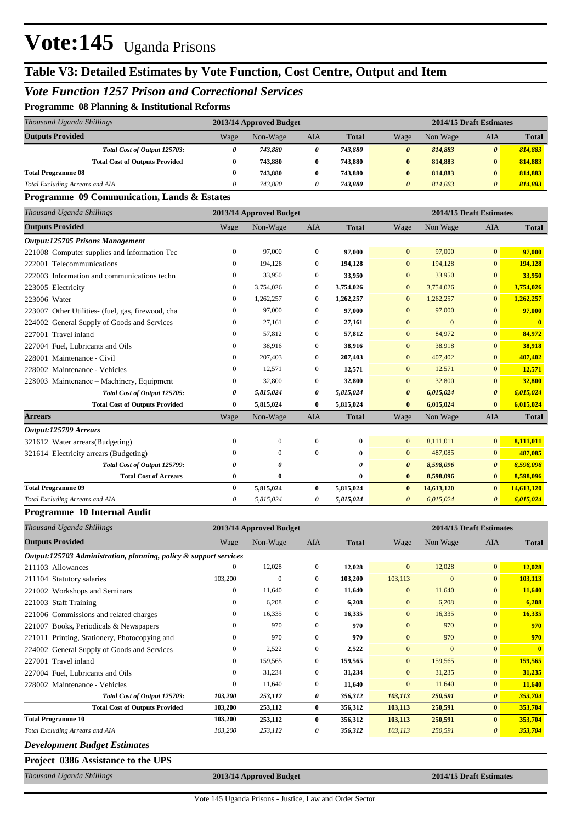### **Table V3: Detailed Estimates by Vote Function, Cost Centre, Output and Item**

### *Vote Function 1257 Prison and Correctional Services*

### **Programme 08 Planning & Institutional Reforms**

| Thousand Uganda Shillings             |                                         | 2013/14 Approved Budget |          |         |               | 2014/15 Draft Estimates |              |         |  |  |
|---------------------------------------|-----------------------------------------|-------------------------|----------|---------|---------------|-------------------------|--------------|---------|--|--|
| <b>Outputs Provided</b>               | Wage<br>Non-Wage<br>AIA<br><b>Total</b> |                         |          | Wage    | Non Wage      | AIA                     | <b>Total</b> |         |  |  |
| Total Cost of Output 125703:          |                                         | 743.880                 | 0        | 743.880 | $\theta$      | 814.883                 | $\theta$     | 814,883 |  |  |
| <b>Total Cost of Outputs Provided</b> |                                         | 743,880                 |          | 743,880 |               | 814.883                 | $\mathbf{0}$ | 814,883 |  |  |
| <b>Total Programme 08</b>             |                                         | 743,880                 | 0        | 743,880 |               | 814.883                 | $\mathbf{0}$ | 814,883 |  |  |
| Total Excluding Arrears and AIA       |                                         | 743.880                 | $\theta$ | 743.880 | $\mathcal{O}$ | 814.883                 | $\theta$     | 814,883 |  |  |

### **Programme 09 Communication, Lands & Estates**

| Thousand Uganda Shillings                         | 2013/14 Approved Budget |              |                |              |                       | 2014/15 Draft Estimates |                       |              |  |  |  |
|---------------------------------------------------|-------------------------|--------------|----------------|--------------|-----------------------|-------------------------|-----------------------|--------------|--|--|--|
| <b>Outputs Provided</b>                           | Wage                    | Non-Wage     | <b>AIA</b>     | <b>Total</b> | Wage                  | Non Wage                | <b>AIA</b>            | <b>Total</b> |  |  |  |
| <b>Output:125705 Prisons Management</b>           |                         |              |                |              |                       |                         |                       |              |  |  |  |
| 221008 Computer supplies and Information Tec      | 0                       | 97,000       | $\Omega$       | 97,000       | $\Omega$              | 97,000                  | $\overline{0}$        | 97,000       |  |  |  |
| 222001 Telecommunications                         | $\Omega$                | 194,128      | $\mathbf{0}$   | 194,128      | $\Omega$              | 194,128                 | $\overline{0}$        | 194,128      |  |  |  |
| 222003 Information and communications techn       | $\mathbf{0}$            | 33,950       | 0              | 33,950       | $\overline{0}$        | 33,950                  | $\overline{0}$        | 33,950       |  |  |  |
| 223005 Electricity                                | $\mathbf{0}$            | 3,754,026    | 0              | 3,754,026    | $\overline{0}$        | 3,754,026               | $\Omega$              | 3,754,026    |  |  |  |
| 223006 Water                                      | $\mathbf{0}$            | 1,262,257    | 0              | 1,262,257    | $\overline{0}$        | 1,262,257               | $\Omega$              | 1,262,257    |  |  |  |
| 223007 Other Utilities- (fuel, gas, firewood, cha | $\mathbf{0}$            | 97,000       | 0              | 97,000       | $\overline{0}$        | 97,000                  | $\Omega$              | 97,000       |  |  |  |
| 224002 General Supply of Goods and Services       | $\mathbf{0}$            | 27,161       | $\overline{0}$ | 27,161       | $\mathbf{0}$          | $\mathbf{0}$            | $\overline{0}$        | $\mathbf{0}$ |  |  |  |
| Travel inland<br>227001                           | $\Omega$                | 57,812       | $\Omega$       | 57,812       | $\overline{0}$        | 84,972                  | $\Omega$              | 84,972       |  |  |  |
| 227004 Fuel, Lubricants and Oils                  | $\mathbf{0}$            | 38,916       | $\mathbf{0}$   | 38,916       | $\mathbf{0}$          | 38,918                  | $\Omega$              | 38,918       |  |  |  |
| 228001 Maintenance - Civil                        | $\mathbf{0}$            | 207,403      | $\Omega$       | 207,403      | $\Omega$              | 407.402                 | $\Omega$              | 407,402      |  |  |  |
| 228002 Maintenance - Vehicles                     | $\mathbf{0}$            | 12,571       | $\mathbf{0}$   | 12,571       | $\mathbf{0}$          | 12,571                  | $\overline{0}$        | 12,571       |  |  |  |
| 228003 Maintenance – Machinery, Equipment         | $\mathbf{0}$            | 32,800       | $\Omega$       | 32,800       | $\Omega$              | 32,800                  | $\Omega$              | 32,800       |  |  |  |
| Total Cost of Output 125705:                      | 0                       | 5,815,024    | 0              | 5,815,024    | $\boldsymbol{\theta}$ | 6,015,024               | $\boldsymbol{\theta}$ | 6,015,024    |  |  |  |
| <b>Total Cost of Outputs Provided</b>             | $\bf{0}$                | 5,815,024    | $\bf{0}$       | 5,815,024    | $\mathbf{0}$          | 6,015,024               | $\mathbf{0}$          | 6,015,024    |  |  |  |
| <b>Arrears</b>                                    | Wage                    | Non-Wage     | <b>AIA</b>     | <b>Total</b> | Wage                  | Non Wage                | <b>AIA</b>            | <b>Total</b> |  |  |  |
| Output:125799 Arrears                             |                         |              |                |              |                       |                         |                       |              |  |  |  |
| 321612 Water arrears (Budgeting)                  | $\mathbf{0}$            | $\mathbf{0}$ | $\overline{0}$ | $\bf{0}$     | $\overline{0}$        | 8,111,011               | $\overline{0}$        | 8,111,011    |  |  |  |
| 321614 Electricity arrears (Budgeting)            | $\mathbf{0}$            | $\Omega$     | $\Omega$       | $\bf{0}$     | $\Omega$              | 487,085                 | $\Omega$              | 487,085      |  |  |  |
| Total Cost of Output 125799:                      | 0                       | 0            |                | 0            | $\boldsymbol{\theta}$ | 8,598,096               | $\boldsymbol{\theta}$ | 8,598,096    |  |  |  |
| <b>Total Cost of Arrears</b>                      | $\bf{0}$                | $\bf{0}$     |                | $\bf{0}$     | $\bf{0}$              | 8,598,096               | $\bf{0}$              | 8,598,096    |  |  |  |
| <b>Total Programme 09</b>                         | $\bf{0}$                | 5,815,024    | $\bf{0}$       | 5,815,024    | $\bf{0}$              | 14,613,120              | $\bf{0}$              | 14,613,120   |  |  |  |
| Total Excluding Arrears and AIA                   | 0                       | 5,815,024    | 0              | 5,815,024    | $\theta$              | 6,015,024               | 0                     | 6,015,024    |  |  |  |

#### **Programme 10 Internal Audit**

| Thousand Uganda Shillings                                         | 2013/14 Approved Budget |          |                |              | 2014/15 Draft Estimates |                |                       |              |  |  |
|-------------------------------------------------------------------|-------------------------|----------|----------------|--------------|-------------------------|----------------|-----------------------|--------------|--|--|
| <b>Outputs Provided</b>                                           | Wage                    | Non-Wage | <b>AIA</b>     | <b>Total</b> | Wage                    | Non Wage       | <b>AIA</b>            | <b>Total</b> |  |  |
| Output:125703 Administration, planning, policy & support services |                         |          |                |              |                         |                |                       |              |  |  |
| 211103 Allowances                                                 | $\mathbf{0}$            | 12,028   | $\overline{0}$ | 12,028       | $\overline{0}$          | 12,028         | $\mathbf{0}$          | 12,028       |  |  |
| 211104 Statutory salaries                                         | 103,200                 | $\Omega$ | $\mathbf{0}$   | 103,200      | 103,113                 | $\overline{0}$ | $\overline{0}$        | 103,113      |  |  |
| 221002 Workshops and Seminars                                     | $\mathbf{0}$            | 11,640   | $\mathbf{0}$   | 11,640       | $\overline{0}$          | 11,640         | $\overline{0}$        | 11,640       |  |  |
| 221003 Staff Training                                             | $\mathbf{0}$            | 6,208    | $\mathbf{0}$   | 6,208        | $\overline{0}$          | 6,208          | $\overline{0}$        | 6,208        |  |  |
| 221006 Commissions and related charges                            | $\mathbf{0}$            | 16,335   | $\mathbf{0}$   | 16,335       | $\overline{0}$          | 16,335         | $\overline{0}$        | 16,335       |  |  |
| 221007 Books, Periodicals & Newspapers                            | 0                       | 970      | $\mathbf{0}$   | 970          | $\overline{0}$          | 970            | $\overline{0}$        | 970          |  |  |
| 221011 Printing, Stationery, Photocopying and                     | 0                       | 970      | $\Omega$       | 970          | $\overline{0}$          | 970            | $\Omega$              | 970          |  |  |
| 224002 General Supply of Goods and Services                       | 0                       | 2,522    | $\mathbf{0}$   | 2,522        | $\overline{0}$          | $\mathbf{0}$   | $\overline{0}$        | $\mathbf{0}$ |  |  |
| 227001 Travel inland                                              | $\Omega$                | 159,565  | $\Omega$       | 159,565      | $\Omega$                | 159,565        | $\overline{0}$        | 159,565      |  |  |
| 227004 Fuel, Lubricants and Oils                                  | $\mathbf{0}$            | 31,234   | $\mathbf{0}$   | 31,234       | $\overline{0}$          | 31,235         | $\overline{0}$        | 31,235       |  |  |
| 228002 Maintenance - Vehicles                                     | $\Omega$                | 11,640   | $\mathbf{0}$   | 11,640       | $\overline{0}$          | 11,640         | $\overline{0}$        | 11,640       |  |  |
| Total Cost of Output 125703:                                      | 103,200                 | 253,112  | 0              | 356,312      | 103,113                 | 250,591        | $\boldsymbol{\theta}$ | 353,704      |  |  |
| <b>Total Cost of Outputs Provided</b>                             | 103,200                 | 253,112  | $\bf{0}$       | 356,312      | 103,113                 | 250,591        | $\mathbf{0}$          | 353,704      |  |  |
| <b>Total Programme 10</b>                                         | 103,200                 | 253,112  | $\bf{0}$       | 356,312      | 103,113                 | 250,591        | $\bf{0}$              | 353,704      |  |  |
| Total Excluding Arrears and AIA                                   | 103,200                 | 253,112  | 0              | 356,312      | 103,113                 | 250,591        | $\theta$              | 353,704      |  |  |
| <b>Development Budget Estimates</b>                               |                         |          |                |              |                         |                |                       |              |  |  |

```
Project 0386 Assistance to the UPS
```
*Thousand Uganda Shillings* **2013/14 Approved Budget 2014/15 Draft Estimates**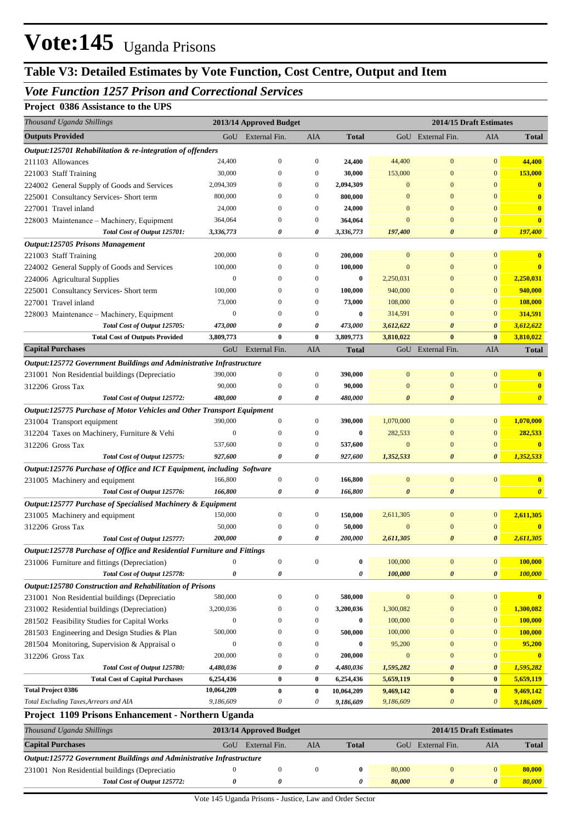### **Table V3: Detailed Estimates by Vote Function, Cost Centre, Output and Item**

### *Vote Function 1257 Prison and Correctional Services*

### **Project 0386 Assistance to the UPS**

| Thousand Uganda Shillings                                               | 2013/14 Approved Budget                            |                   |                       |              |                       | 2014/15 Draft Estimates |                       |                       |  |  |  |
|-------------------------------------------------------------------------|----------------------------------------------------|-------------------|-----------------------|--------------|-----------------------|-------------------------|-----------------------|-----------------------|--|--|--|
| <b>Outputs Provided</b>                                                 |                                                    | GoU External Fin. | AIA                   | <b>Total</b> |                       | GoU External Fin.       | AIA                   | <b>Total</b>          |  |  |  |
| Output:125701 Rehabilitation & re-integration of offenders              |                                                    |                   |                       |              |                       |                         |                       |                       |  |  |  |
| 211103 Allowances                                                       | 24,400                                             | $\boldsymbol{0}$  | $\boldsymbol{0}$      | 24,400       | 44,400                | $\bf{0}$                | $\mathbf{0}$          | 44,400                |  |  |  |
| 221003 Staff Training                                                   | 30,000                                             | 0                 | $\boldsymbol{0}$      | 30,000       | 153,000               | $\overline{0}$          | $\mathbf{0}$          | 153,000               |  |  |  |
| 224002 General Supply of Goods and Services                             | 2,094,309                                          | 0                 | $\boldsymbol{0}$      | 2,094,309    | $\mathbf{0}$          | $\overline{0}$          | $\mathbf{0}$          | $\bf{0}$              |  |  |  |
| 225001 Consultancy Services- Short term                                 | 800,000                                            | $\Omega$          | $\mathbf{0}$          | 800,000      | $\mathbf{0}$          | $\overline{0}$          | $\mathbf{0}$          | $\bf{0}$              |  |  |  |
| 227001 Travel inland                                                    | 24,000                                             | $\mathbf{0}$      | $\mathbf{0}$          | 24,000       | $\mathbf{0}$          | $\overline{0}$          | $\mathbf{0}$          | $\bf{0}$              |  |  |  |
| 228003 Maintenance – Machinery, Equipment                               | 364,064                                            | $\Omega$          | $\boldsymbol{0}$      | 364,064      | $\mathbf{0}$          | $\overline{0}$          | $\mathbf{0}$          | $\bf{0}$              |  |  |  |
| Total Cost of Output 125701:                                            | 3,336,773                                          | 0                 | 0                     | 3,336,773    | 197,400               | 0                       | $\boldsymbol{\theta}$ | 197,400               |  |  |  |
| <b>Output:125705 Prisons Management</b>                                 |                                                    |                   |                       |              |                       |                         |                       |                       |  |  |  |
| 221003 Staff Training                                                   | 200,000                                            | $\theta$          | $\boldsymbol{0}$      | 200,000      | $\mathbf{0}$          | $\bf{0}$                | $\mathbf{0}$          | $\bf{0}$              |  |  |  |
| 224002 General Supply of Goods and Services                             | 100,000                                            | 0                 | $\mathbf{0}$          | 100,000      | $\overline{0}$        | $\overline{0}$          | $\mathbf{0}$          | $\bf{0}$              |  |  |  |
| 224006 Agricultural Supplies                                            | $\boldsymbol{0}$                                   | 0                 | $\mathbf{0}$          | $\bf{0}$     | 2,250,031             | $\overline{0}$          | $\mathbf{0}$          | 2,250,031             |  |  |  |
| 225001 Consultancy Services- Short term                                 | 100,000                                            | 0                 | $\mathbf{0}$          | 100,000      | 940,000               | $\overline{0}$          | $\mathbf{0}$          | 940,000               |  |  |  |
| 227001 Travel inland                                                    | 73,000                                             | $\Omega$          | $\mathbf{0}$          | 73,000       | 108,000               | $\overline{0}$          | $\mathbf{0}$          | 108,000               |  |  |  |
| 228003 Maintenance - Machinery, Equipment                               | $\boldsymbol{0}$                                   | $\mathbf{0}$      | $\mathbf{0}$          | $\bf{0}$     | 314,591               | $\overline{0}$          | $\mathbf{0}$          | 314,591               |  |  |  |
| Total Cost of Output 125705:                                            | 473,000                                            | 0                 | 0                     | 473,000      | 3,612,622             | $\boldsymbol{\theta}$   | $\boldsymbol{\theta}$ | 3,612,622             |  |  |  |
| <b>Total Cost of Outputs Provided</b>                                   | 3,809,773                                          | $\bf{0}$          | $\bf{0}$              | 3,809,773    | 3,810,022             | $\bf{0}$                | $\bf{0}$              | 3,810,022             |  |  |  |
| <b>Capital Purchases</b>                                                | GoU                                                | External Fin.     | AIA                   | <b>Total</b> |                       | GoU External Fin.       | AIA                   | <b>Total</b>          |  |  |  |
| Output:125772 Government Buildings and Administrative Infrastructure    |                                                    |                   |                       |              |                       |                         |                       |                       |  |  |  |
| 231001 Non Residential buildings (Depreciatio                           | 390,000                                            | $\boldsymbol{0}$  | $\boldsymbol{0}$      | 390,000      | $\mathbf{0}$          | $\boldsymbol{0}$        | $\mathbf{0}$          | $\bf{0}$              |  |  |  |
| 312206 Gross Tax                                                        | 90,000                                             | 0                 | $\boldsymbol{0}$      | 90,000       | $\mathbf{0}$          | $\bf{0}$                | $\mathbf{0}$          | $\bf{0}$              |  |  |  |
| Total Cost of Output 125772:                                            | 480,000                                            | 0                 | 0                     | 480,000      | $\theta$              | $\boldsymbol{\theta}$   |                       | $\boldsymbol{\theta}$ |  |  |  |
| Output:125775 Purchase of Motor Vehicles and Other Transport Equipment  |                                                    |                   |                       |              |                       |                         |                       |                       |  |  |  |
| 231004 Transport equipment                                              | 390,000                                            | $\boldsymbol{0}$  | $\boldsymbol{0}$      | 390,000      | 1,070,000             | $\bf{0}$                | $\mathbf{0}$          | 1,070,000             |  |  |  |
| 312204 Taxes on Machinery, Furniture & Vehi                             | $\mathbf{0}$                                       | 0                 | $\boldsymbol{0}$      | 0            | 282,533               | $\bf{0}$                | $\mathbf{0}$          | <u>282,533</u>        |  |  |  |
| 312206 Gross Tax                                                        | 537,600                                            | 0                 | $\boldsymbol{0}$      | 537,600      | $\mathbf{0}$          | $\bf{0}$                | $\mathbf{0}$          | $\bf{0}$              |  |  |  |
| Total Cost of Output 125775:                                            | 927,600                                            | 0                 | ŋ                     | 927,600      | 1,352,533             | $\boldsymbol{\theta}$   | $\boldsymbol{\theta}$ | 1,352,533             |  |  |  |
| Output:125776 Purchase of Office and ICT Equipment, including Software  |                                                    |                   |                       |              |                       |                         |                       |                       |  |  |  |
| 231005 Machinery and equipment                                          | 166,800                                            | 0                 | $\boldsymbol{0}$      | 166,800      | $\mathbf{0}$          | $\boldsymbol{0}$        | $\mathbf{0}$          | $\bf{0}$              |  |  |  |
| Total Cost of Output 125776:                                            | 166,800                                            | 0                 | 0                     | 166,800      | $\boldsymbol{\theta}$ | $\boldsymbol{\theta}$   |                       | $\boldsymbol{\theta}$ |  |  |  |
| Output:125777 Purchase of Specialised Machinery & Equipment             |                                                    |                   |                       |              |                       |                         |                       |                       |  |  |  |
| 231005 Machinery and equipment                                          | 150,000                                            | $\boldsymbol{0}$  | $\boldsymbol{0}$      | 150,000      | 2,611,305             | $\mathbf{0}$            | $\mathbf{0}$          | 2,611,305             |  |  |  |
| 312206 Gross Tax                                                        | 50,000                                             | 0                 | $\boldsymbol{0}$      | 50,000       | $\mathbf{0}$          | $\mathbf{0}$            | $\mathbf{0}$          | $\bf{0}$              |  |  |  |
| Total Cost of Output 125777:                                            | 200,000                                            | 0                 | 0                     | 200,000      | 2,611,305             | $\boldsymbol{\theta}$   | $\boldsymbol{\theta}$ | 2,611,305             |  |  |  |
| Output:125778 Purchase of Office and Residential Furniture and Fittings |                                                    |                   |                       |              |                       |                         |                       |                       |  |  |  |
| 231006 Furniture and fittings (Depreciation)                            | $\mathbf{0}$                                       | $\boldsymbol{0}$  | $\boldsymbol{0}$      | $\bf{0}$     | 100,000               | $\boldsymbol{0}$        | $\mathbf{0}$          | 100,000               |  |  |  |
| Total Cost of Output 125778:                                            | 0                                                  | 0                 |                       | 0            | 100,000               | 0                       | $\boldsymbol{\theta}$ | <b>100,000</b>        |  |  |  |
| Output:125780 Construction and Rehabilitation of Prisons                |                                                    |                   |                       |              |                       |                         |                       |                       |  |  |  |
| 231001 Non Residential buildings (Depreciatio                           | 580,000                                            | 0                 | $\boldsymbol{0}$      | 580,000      | $\mathbf{0}$          | $\boldsymbol{0}$        | $\mathbf{0}$          | $\bf{0}$              |  |  |  |
| 231002 Residential buildings (Depreciation)                             | 3,200,036                                          | 0                 | $\boldsymbol{0}$      | 3,200,036    | 1,300,082             | $\boldsymbol{0}$        | $\boldsymbol{0}$      | 1,300,082             |  |  |  |
| 281502 Feasibility Studies for Capital Works                            | $\boldsymbol{0}$                                   | 0                 | $\boldsymbol{0}$      | $\bf{0}$     | 100,000               | $\bf{0}$                | $\mathbf{0}$          | 100,000               |  |  |  |
| 281503 Engineering and Design Studies & Plan                            | 500,000                                            | 0                 | $\boldsymbol{0}$      | 500,000      | 100,000               | $\bf{0}$                | $\mathbf{0}$          | 100,000               |  |  |  |
| 281504 Monitoring, Supervision & Appraisal o                            | $\boldsymbol{0}$                                   | 0                 | $\boldsymbol{0}$      | 0            | 95,200                | $\bf{0}$                | $\mathbf{0}$          | 95,200                |  |  |  |
| 312206 Gross Tax                                                        | 200,000                                            | 0                 | $\boldsymbol{0}$      | 200,000      | $\mathbf{0}$          | $\bf{0}$                | $\mathbf{0}$          | $\bf{0}$              |  |  |  |
| Total Cost of Output 125780:                                            | 4,480,036                                          | 0                 | 0                     | 4,480,036    | 1,595,282             | 0                       | $\boldsymbol{\theta}$ | 1,595,282             |  |  |  |
| <b>Total Cost of Capital Purchases</b>                                  | 6,254,436                                          | $\bf{0}$          | $\bf{0}$              | 6,254,436    | 5,659,119             | $\bf{0}$                | $\bf{0}$              | 5,659,119             |  |  |  |
| <b>Total Project 0386</b>                                               | 10,064,209                                         | $\bf{0}$          | $\bf{0}$              | 10,064,209   | 9,469,142             | $\bf{0}$                | $\bf{0}$              | 9,469,142             |  |  |  |
| Total Excluding Taxes, Arrears and AIA                                  | 9,186,609                                          | 0                 | $\boldsymbol{\theta}$ | 9,186,609    | 9,186,609             | $\boldsymbol{\theta}$   | $\boldsymbol{\theta}$ | 9,186,609             |  |  |  |
| Project 1109 Prisons Enhancement - Northern Uganda                      |                                                    |                   |                       |              |                       |                         |                       |                       |  |  |  |
| Thousand Uganda Shillings                                               | 2014/15 Draft Estimates<br>2013/14 Approved Budget |                   |                       |              |                       |                         |                       |                       |  |  |  |
| <b>Capital Purchases</b>                                                |                                                    |                   |                       |              |                       |                         |                       |                       |  |  |  |
|                                                                         |                                                    |                   |                       |              |                       |                         |                       |                       |  |  |  |
| Output:125772 Government Buildings and Administrative Infrastructure    |                                                    | GoU External Fin. | AIA                   | <b>Total</b> |                       | GoU External Fin.       | AIA                   | <b>Total</b>          |  |  |  |

*Total Cost of Output 125772: 0 0 0 80,000 0 0 80,000*